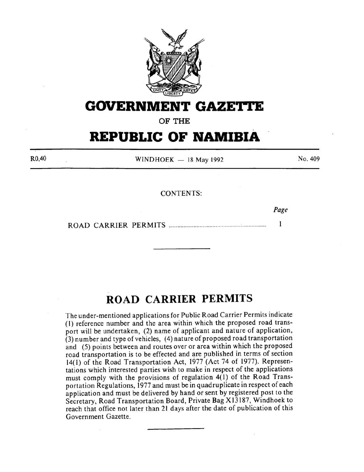

# **GOVERNMENT GAZETTE**

**OF THE** 

# **REPUBLIC OF NAMIBIA**

R0,40

 $WINDHOEK - 18$  May 1992

No. 409

CONTENTS:

*Page* 

 $\mathbf{1}$ ROAD CARRIER PERMITS ................................................. ~ ............... .

# **ROAD CARRIER PERMITS**

The under-mentioned applications for Public Road Carrier Permits indicate (I) reference number and the area within which the proposed road transport will be undertaken, (2) name of applicant and nature of application, (3) number and type of vehicles, ( 4) nature of proposed road transportation and (5) points between and routes over or area within which the proposed road transportation is to be effected and are published in terms of section 14( 1) of the Road Transportation Act, 1977 (Act 74 of 1977). Representations which interested parties wish to make in respect of the applications must comply with the provisions of regulation 4(1) of the Road Transportation Regulations, 1977 and must be in quadruplicate in respect of each application and must be delivered by hand or sent by registered post to the Secretary, Road Transportation Board, Private Bag X l3187, Windhoek to reach that office not later than 21 days after the date of publication of this Government Gazette.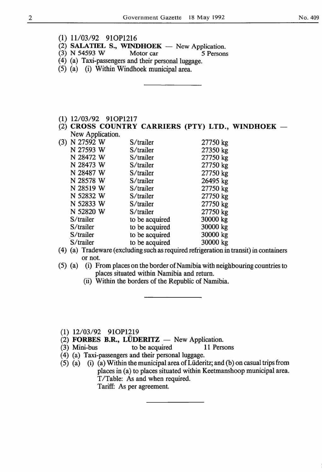- (1) 11/03/92 910P1216
- (2) SALATIEL S., WINDHOEK New Application.<br>(3) N 54593 W Motor car 5 Persons
- $(3)$  N 54593 W
- (4) (a) Taxi-passengers and their personal luggage.
- (5) (a) (i) Within Windhoek municipal area.
- (1) 12/03/92 910P1217
- $(2)$  CROSS COUNTRY CARRIERS (PTY) LTD., WINDHOEK  $-$ New Application.

| (3) | N 27592 W | S/trailer      | 27750 kg |
|-----|-----------|----------------|----------|
|     | N 27593 W | S/trailer      | 27350 kg |
|     | N 28472 W | S/trailer      | 27750 kg |
|     | N 28473 W | S/trailer      | 27750 kg |
|     | N 28487 W | S/trailer      | 27750 kg |
|     | N 28578 W | S/trailer      | 26495 kg |
|     | N 28519 W | S/trailer      | 27750 kg |
|     | N 52832 W | S/trailer      | 27750 kg |
|     | N 52833 W | S/trailer      | 27750 kg |
|     | N 52820 W | S/trailer      | 27750 kg |
|     | S/trailer | to be acquired | 30000 kg |
|     | S/trailer | to be acquired | 30000 kg |
|     | S/trailer | to be acquired | 30000 kg |
|     | S/trailer | to be acquired | 30000 kg |
|     |           |                |          |

- ( 4) (a) Trade ware (excluding such as required refrigeration in transit) in containers or not.
- (5) (a) (i) From places on the border of Namibia with neighbouring countries to places situated within Namibia and return.
	- (ii) Within the borders of the Republic of Namibia.
- (1) 12/03/92 910P1219
- $(2)$  FORBES B.R., LÜDERITZ New Application.
- (3) Mini-bus to be acquired 11 Persons
- (4) (a) Taxi-passengers and their personal luggage.
- (5) (a) (i) (a) Within the municipal area ofLiideritz; and (b) on casual trips from places in (a) to places situated within Keetmanshoop municipal area. T/Table: As and when required. Tariff: As per agreement.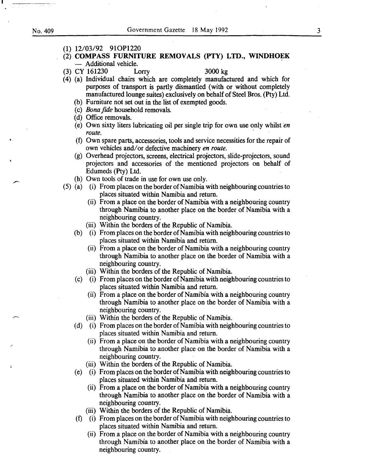·-

- **(1)** 12/03/92 910P1220
- (2) **COMPASS FURNITURE REMOVALS (PTY) LTD., WINDHOEK**  - Additional vehicle.
- (3) CY 161230 Lorry 3000 kg

- (4) (a) Individual chairs which are completely manufactured and which for purposes of transport is partly dismantled (with or without completely manufactured lounge suites) exclusively on behalf of Steel Bros. (Pty) Ltd.
	- (b) Furniture not set out in the list of exempted goods.
	- (c) *Bona fide* household removals.
	- (d) Office removals.
	- (e) Own sixty liters lubricating oil per single trip for own use only whilst *en route.* ·
	- (f) Own spare parts, accessories, tools and service necessities for the repair of own vehicles and/ or defective machinery *en route.*
	- (g) Overhead projectors, screens, electrical projectors, slide-projectors, sound projectors and accessories of the mentioned projectors on behalf of Edumeds (Pty) Ltd.
	- (h) Own tools of trade in use for own use only.
- (5) (a) (i) From places on the border of Namibia with neighbouring countries to places situated within Namibia and return.
	- (ii) From a place on the border of Namibia with a neighbouring country through Namibia to another place on the border of Namibia with a neighbouring country.
	- (iii) Within the borders of the Republic of Namibia.
	- (b) (i) From places on the border of Namibia with neighbouring countries to places situated within Namibia and return.
		- (ii) From a place on the border of Namibia with a neighbouring country through Namibia to another place on the border of Namibia with a neighbouring country.
		- (iii) Within the borders of the Republic of Namibia.
	- (c) (i) From places on the border of Namibia with neighbouring countries to places situated within Namibia and return.
		- (ii) From a place on the border of Namibia with a neighbouring country through Namibia to another place on the border of Namibia with a neighbouring country.
		- (iii) Within the borders of the Republic of Namibia.
	- (d) ( i) From places on the border of Namibia with neighbouring countries to places situated within Namibia and return.
		- (ii) From a place on the border of Namibia with a neighbouring country through Namibia to another place on the border of Namibia with a neighbouring country.
		- (iii) Within the borders of the Republic of Namibia.
	- (e) (i) From places on the border of Namibia with neighbouring countries to places situated within Namibia and return.
		- (ii) From a place on the border of Namibia with a neighbouring country through Namibia to another place on the border of Namibia with a neighbouring country.
		- (iii) Within the borders of the Republic of Namibia.
	- (f) (i) From places on the border of Namibia with neighbouring countries to places situated within Namibia and return.
		- (ii) From a place on the border of Namibia with a neighbouring country through Namibia to another place on the border of Namibia with a neighbouring country.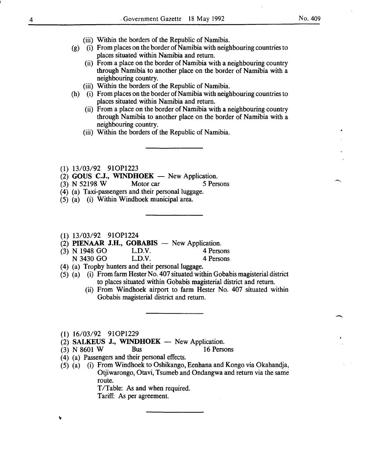$\overline{\phantom{a}}$ 

- (iii) Within the borders of the Republic of Namibia.
- (g) (i) From places on the border of Namibia with neighbouring countries to places situated within Namibia and return.
	- (ii) From a place on the border of Namibia with a neighbouring country through Namibia to another place on the border of Namibia with a neighbouring country.
	- (iii) Within the borders of the Republic of Namibia.
- (h) (i) From places on the border of Namibia with neighbouring countries to places situated within Namibia and return.
	- (ii) From a place on the border of Namibia with a neighbouring country through Namibia to another place on the border of Namibia with a neighbouring country.
	- (iii) Within the borders of the Republic of Namibia.
- (1) 13/03/92 910P1223
- (2) GOUS C.J., WINDHOEK  $-$  New Application.
- (3) N 52198 W Motor car 5 Persons
- (4) (a) Taxi-passengers and their personal luggage.
- (5) (a) (i) Within Windhoek municipal area.
- (1) 13/03/92 910P1224
- (2) PIENAAR J.H., GOBABIS New Application.<br>(3) N 1948 GO L.D.V. 4 Persons
- (3) N 1948 GO L.D.V. 4 Persons<br>
N 3430 GO L.D.V. 4 Persons N 3430 GO
- (4) (a) Trophy hunters and their personal luggage.
- (5) (a) (i) From farm Hester No. 407 situated within Gobabis magisterial district to places situated within Gobabis magisterial district and return.
	- (ii) From Windhoek airport to farm Hester No. 407 situated within Gobabis magisterial district and return.

(1) 16/03/92 910P1229

- (2) SALKEUS J., WINDHOEK  $-$  New Application.
- (3) N 8601 W Bus 16 Persons
- ( 4) (a) Passengers and their personal effects.
- (5) (a) (i) From Windhoek to Oshikango, Eenhana and Kongo via Okahandja, Otjiwarongo, Otavi, Tsumeb and Ondangwa and return via the same route.

T/Table: As and when required.

Tariff: As per agreement.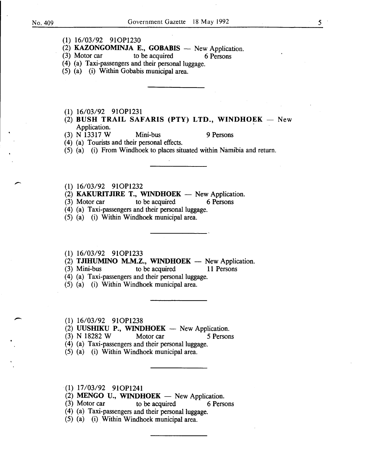(1) 16/03/92 910P1230

 $(2)$  KAZONGOMINJA E., GOBABIS - New Application.

- (3) Motor car to be acquired 6 Persons
- (4) (a) Taxi-passengers and their personal luggage.
- (5) (a) (i) Within Gobabis municipal area.
- (1) 16/03/92 910P1231
- $(2)$  BUSH TRAIL SAFARIS (PTY) LTD., WINDHOEK New Application.
- (3) N 13317 W Mini-bus 9 Persons

(4) (a) Tourists and their personal effects.

(5) (a) (i) From Windhoek to places situated within Namibia and return.

- 
- (1) 16/03/92 91OP1232<br>
(2) KAKURITJIRE T., WINDHOEK New Application.
	- (3) Motor car to be acquired 6 Persons
	- (4) (a) Taxi-passengers and their personal luggage.
	- (5) (a) (i) Within Windhoek municipal area.
	- (1) 16/03/92 910P1233
	- (2) TJIHUMINO M.M.Z., WINDHOEK New Application.<br>(3) Mini-bus to be acquired 11 Persons
	- to be acquired
	- (4) (a) Taxi-passengers and their personal luggage.
	- (5) (a) (i) Within Windhoek municipal area.
	-
- (1) 16/03/92 91OP1238<br>
(2) UUSHIKU P., WINDHOEK New Application.
	- (3) N 18282 W Motor car *5* Persons
	- (4) (a) Taxi-passengers and their personal luggage.
	- (5) (a) (i) Within Windhoek municipal area.
	- (1) 17/03/92 910P1241
	- (2) MENGO U., WINDHOEK  $-$  New Application.
	- (3) Motor car to be acquired 6 Persons
	- (4) (a) Taxi-passengers and their personal luggage.
	- (5) (a) (i) Within Windhoek municipal area.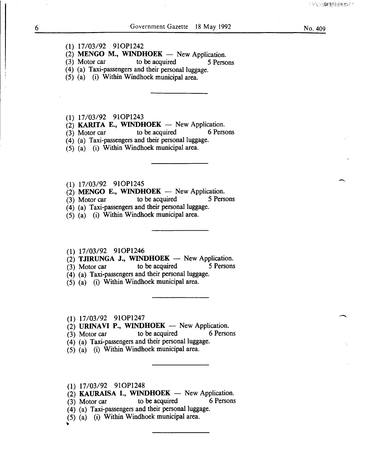### (1) 17/03/92 910P1242

(2) MENGO M., WINDHOEK  $-$  New Application.

(3) Motor car to be acquired 5 Persons

(4) (a) Taxi-passengers and their personal luggage.

(5) (a) (i) Within Windhoek municipal area.

(1) 17/03/92 910P1243

(2) **KARITA E., WINDHOEK** - New Application.<br>(3) Motor car to be acquired 6 Persons

 $(3)$  Motor car

(4) (a) Taxi-passengers and their personal luggage.

(5) (a) (i) Within Windhoek municipal area.

# (1) 17/03/92 910P1245

 $(2)$  MENGO E., WINDHOEK - New Application.

(3) Motor car to be acquired 5 Persons

(4) (a) Taxi-passengers and their personal luggage.

(5) (a) (i) Within Windhoek municipal area.

# (1) 17/03/92 910P1246

(2) TJIRUNGA J., WINDHOEK - New Application.<br>
(3) Motor car to be acquired 5 Persons

 $(3)$  Motor car

(4) (a) Taxi-passengers and their personal luggage.

(5) (a) (i) Within Windhoek municipal area.

(1) 17/03/92 910P1247

(2) URINAVI P., WINDHOEK - New Application.<br>(3) Motor car to be acquired 6 Persons

 $(3)$  Motor car to be acquired

- (4) (a) Taxi-passengers and their personal luggage.
- (5) (a) (i) Within Windhoek municipal area.

(1) 17/03/92 910P1248

 $(2)$  KAURAISA I., WINDHOEK - New Application.

 $(3)$  Motor car to be acquired 6 Persons

- (4) (a) Taxi-passengers and their personal luggage.
- (5) (a) (i) Within Windhoek municipal area.

~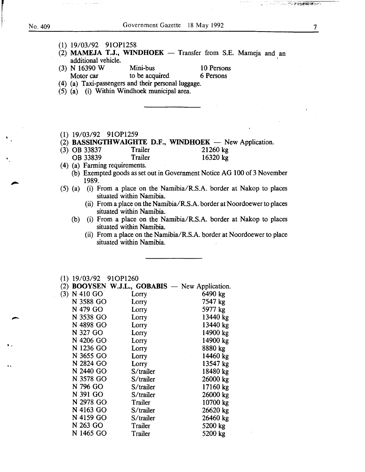r<br>Bandar

..

..

f·

<u>र अध्यक्ष के साथ भारत कर</u>

| $(1)$ 19/03/92 91OP1258 |                                                              |            |  |
|-------------------------|--------------------------------------------------------------|------------|--|
| additional vehicle.     | (2) MAMEJA T.J., WINDHOEK - Transfer from S.E. Mameja and an |            |  |
|                         | $(3)$ N 16390 W Mini-bus                                     | 10 Persons |  |
|                         | Motor car to be acquired                                     | 6 Persons  |  |
|                         | (4) (a) Taxi-passengers and their personal luggage.          |            |  |
|                         | (5) (a) (i) Within Windhoek municipal area.                  |            |  |
|                         |                                                              |            |  |
|                         |                                                              |            |  |
|                         |                                                              |            |  |
|                         |                                                              |            |  |
| $(1)$ 19/03/92 91OP1259 |                                                              |            |  |
|                         | (2) BASSINGTHWAIGHTE D.F., WINDHOEK — New Application.       |            |  |
|                         |                                                              | . <i>.</i> |  |

- (3) OB 33837 Trailer 21260 kg<br>OB 33839 Trailer 16320 kg
- 16320 kg
- (4) (a) Farming requirements.
	- (b) Exempted goods as set out in Government Notice AG 100 of 3 November 1989.
- (5) (a) (i) From a place on the Namibia/R.S.A. border at Nakop to places situated within Namibia.
	- (ii) From a place on the Namibia/R.S.A. border at Noordoewer to places situated within Namibia.
	- (b) (i) From a place on the Namibia/R.S.A. border at Nakop to places situated within Namibia.
		- (ii) From a place on the Namibia/R.S.A. border at Noordoewer to place situated within Namibia.

|     | $(1)$ 19/03/92 91OP1260 |                                                   |          |
|-----|-------------------------|---------------------------------------------------|----------|
| (2) |                         | <b>BOOYSEN W.J.L., GOBABIS</b> - New Application. |          |
|     | $(3)$ N 410 GO          | Lorry                                             | 6490 kg  |
|     | N 3588 GO               | Lorry                                             | 7547 kg  |
|     | N 479 GO                | Lorry                                             | 5977 kg  |
|     | N 3538 GO               | Lorry                                             | 13440 kg |
|     | N 4898 GO               | Lorry                                             | 13440 kg |
|     | N 327 GO                | Lorry                                             | 14900 kg |
|     | N 4206 GO               | Lorry                                             | 14900 kg |
|     | N 1236 GO               | Lorry                                             | 8880 kg  |
|     | N 3655 GO               | Lorry                                             | 14460 kg |
|     | N 2824 GO               | Lorry                                             | 13547 kg |
|     | N 2440 GO               | S/trailer                                         | 18480 kg |
|     | N 3578 GO               | S/trailer                                         | 26000 kg |
|     | N 796 GO                | S/trailer                                         | 17160 kg |
|     | N 391 GO                | S/trailer                                         | 26000 kg |
|     | N 2978 GO               | Trailer                                           | 10700 kg |
|     | N 4163 GO               | S/trailer                                         | 26620 kg |
|     | N 4159 GO               | S/trailer                                         | 26460 kg |
|     | N 263 GO                | Trailer                                           | 5200 kg  |
|     | N 1465 GO               | Trailer                                           | 5200 kg  |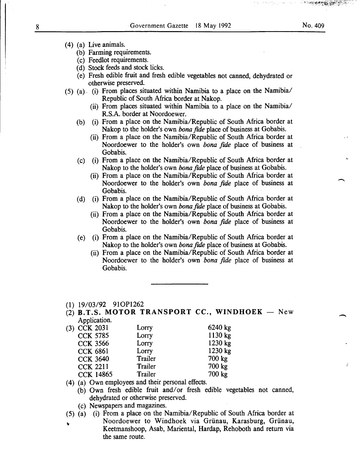- (b) Farming requirements.
- (c) Feedlot requirements.
- (d) Stock feeds and stock licks.
- (e) Fresh edible fruit and fresh edible vegetables not canned, dehydrated or otherwise preserved.
- (5) (a). (i) From places situated within Namibia to a place on the Namibia/ Republic of South Africa border at Nakop.
	- (ii) From places situated within Namibia to a place on the Namibia/ R.S.A. border at Noordoewer.
	- (b) (i) From a place on the Namibia/Republic of South Africa border at Nakop to the holder's own *bona fide* place of business at Gobabis.
		- (ii) From a place on the Namibia/Republic of South Africa border at Noordoewer to the holder's own *bona fide* place of business at Gobabis.
	- (c) (i) From a place on the Namibia/Republic of South Africa border at Nakop to the holder's own *bona fide* place of business at Gobabis.
		- (ii) From a place on the Namibia/Republic of South Africa border at Noordoewer to the holder's own *bona fide* place of business at Gobabis.
	- (d) (i) From a place on the Namibia/Republic of South Africa border at Nakop to the holder's own *bona fide* place of business at Gobabis.
		- (ii) From a place on the Namibia/Republic of South Africa border at Noordoewer to the holder's own *bona fide* place of business at Gobabis.
	- (e) (i) From a place on the Namibia/Republic of South Africa border at Nakop to the holder's own *bona fide* place of business at Gobabis.
		- (ii) From a place on the Namibia/Republic of South Africa border at Noordoewer to the holder's own *bona fide* place of business at Gobabis.
- (1) 19/03/92 910P1262
- $(2)$  **B.T.S. MOTOR TRANSPORT CC., WINDHOEK** New Application.

| (3) CCK 2031     | Lorry   | 6240 kg |
|------------------|---------|---------|
| <b>CCK 5785</b>  | Lorry   | 1130 kg |
| <b>CCK 3566</b>  | Lorry   | 1230 kg |
| <b>CCK 6861</b>  | Lorry   | 1230 kg |
| <b>CCK 3640</b>  | Trailer | 700 kg  |
| <b>CCK 2211</b>  | Trailer | 700 kg  |
| <b>CCK 14865</b> | Trailer | 700 kg  |

(4) (a) Own employees and their personal effects.

- (b) Own fresh edible fruit and/or fresh edible vegetables not canned, dehydrated or otherwise preserved.
- (c) Newspapers and magazines.
- (5) (a) (i) From a place on the Namibia/Republic of South Africa border at
	- Noordoewer to Windhoek via Grünau, Karasburg, Grünau, Keetmanshoop, Asab, Mariental, Hardap, Rehoboth and return via the same route.

 $\overline{\phantom{a}}$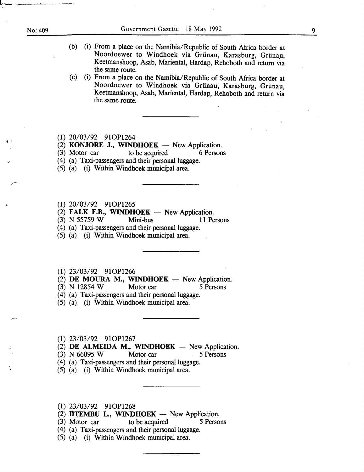### No: 409

' .

..

'

- (b) (i) From a place on the Namibia/Republic of South Africa border at Noordoewer to Windhoek via Grünau, Karasburg, Grünau, Keetmanshoop, Asab, Mariental, Hardap, Rehoboth and return via the same route.
- (c) (i) From a place on the Namibia/Republic of South Africa border at Noordoewer to Windhoek via Griinau, Karasburg, Griinau, Keetmanshoop, Asab, Mariental, Hardap, Rehoboth and return via the same route.
- (1) 20/03/92 910P1264
- (2) **KONJORE J., WINDHOEK** New Application.<br>(3) Motor car to be acquired 6 Persons
- $(3)$  Motor car
- (4) (a) Taxi-passengers and their personal luggage .
- (5) (a) (i) Within Windhoek municipal area.
- (1) 20/03/92 910P1265
- (2) FALK F.B., WINDHOEK New Application.<br>(3) N 55759 W Mini-bus 11 Pe
- (3) N 55759 W Mini-bus 11 Persons
- (4) (a) Taxi-passengers and their personal luggage.
- (5) (a) (i) Within Windhoek municipal area.
- (1) 23/03/92 910P1266

(2) DE MOURA M., WINDHOEK  $-$  New Application.

- (3) N 12854 W Motor car 5 Persons
- (4) (a) Taxi-passengers and their personal luggage.
- (5) (a) (i) Within Windhoek municipal area.
- (1) 23/03/92 910P1267
- (2)  $DE$  ALMEIDA M., WINDHOEK New Application.
- $(3)$  N 66095 W Motor car 5 Persons
- (4) (a) Taxi-passengers and their personal luggage.
- (5) (a) (i) Within Windhoek municipal area.
- (1) 23/03/92 910P1268
- (2) IITEMBU L., WINDHOEK  $-$  New Application.
- (3) Motor car to be acquired 5 Persons
- (4) (a) Taxi-passengers and their personal luggage.
- (5) (a) (i) Within Windhoek municipal area.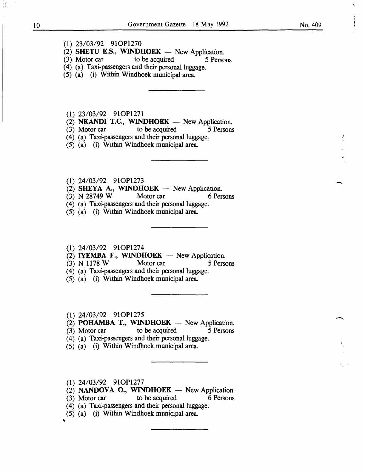- (1) 23/03/92 910P1270
- $(2)$  SHETU E.S., WINDHOEK New Application.
- (3) Motor car to be acquired 5 Persons
- (4) (a) Taxi-passengers and their personal luggage.
- (5) (a) (i) Within Windhoek municipal area.

(1) 23/03/92 910P1271

- (2) **NKANDI T.C., WINDHOEK** New Application.<br>(3) Motor car to be acquired 5 Persons
- $(3)$  Motor car
- ( 4) (a) Taxi-passengers and their personal luggage.
- (5) (a) (i) Within Windhoek municipal area.
- (1) 24/03/92 910P1273
- $(2)$  SHEYA A., WINDHOEK New Application.
- (3) N 28749 W Motor car 6 Persons
- (4) (a) Taxi-passengers and their personal luggage.
- (5) (a) (i) Within Windhoek municipal area.

### (1) 24/03/92 910P1274

- (2) IYEMBA F., WINDHOEK  $-$  New Application.
- (3) N 1178 W Motor car 5 Persons
- $(4)$  (a) Taxi-passengers and their personal luggage.
- (5) (a) (i) Within Windhoek municipal area.

(1) 24/03/92 910P1275

(2) POHAMBA T., WINDHOEK  $-$  New Application.

- (3) Motor car to be acquired 5 Persons
- (4) (a) Taxi-passengers and their personal luggage.
- (5) (a) (i) Within Windhoek municipal area.
- (1) 24/03/92 910P1277
- $(2)$  NANDOVA O., WINDHOEK New Application.
- (3) Motor car to be acquired 6 Persons
- (4) (a) Taxi-passengers and their personal luggage.
- (5) (a) (i) Within Windhoek municipal area.

¥

-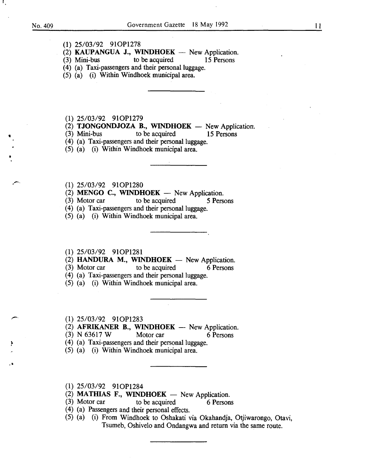•

•

..

(1) 25/03/92 910P1278

(2) KAUPANGUA J., WINDHOEK - New Application.<br>
(3) Mini-bus to be acquired 15 Persons

(4) (a) Taxi-passengers and their personal luggage.

(5) (a) (i) Within Windhoek municipal area.

 $(3)$  Mini-bus to be acquired

(1) 25/03/92 910P1279

(2) **TJONGONDJOZA B., WINDHOEK** - New Application.<br>(3) Mini-bus to be acquired 15 Persons

to be acquired 15 Persons

(4) (a) Taxi-passengers and their personal luggage.

(5) (a) (i) Within Windhoek municipal area .

(1) 25/03/92 910P1280

(2) MENGO C., WINDHOEK  $-$  New Application.

(3) Motor car to be acquired 5 Persons

(4) (a) Taxi-passengers and their personal luggage.

(5) (a) (i) Within Windhoek municipal area.

### (1) 25/03/92 910P1281

(2) HANDURA M., WINDHOEK  $-$  New Application.

(3) Motor car to be acquired 6 Persons

(4) (a) Taxi-passengers and their personal luggage.

(5) (a) (i) Within Windhoek municipal area.

(1) 25/03/92 910P1283

 $(2)$  AFRIKANER B., WINDHOEK - New Application.

(3) N 63617 W Motor car 6 Persons

(4) (a) Taxi-passengers and their personal luggage.

(5) (a) (i) Within Windhoek municipal area .

(1) 25/03/92 910P1284

(2) MATHIAS F., WINDHOEK  $-$  New Application.

 $(3)$  Motor car to be acquired 6 Persons

( 4) (a) Passengers and their personal effects.

(5) (a) (i) From Windhoek to Oshakati via Okahandja, Otjiwarongo, Otavi, Tsumeb, Oshivelo and Ondangwa and return via the same route.

l l